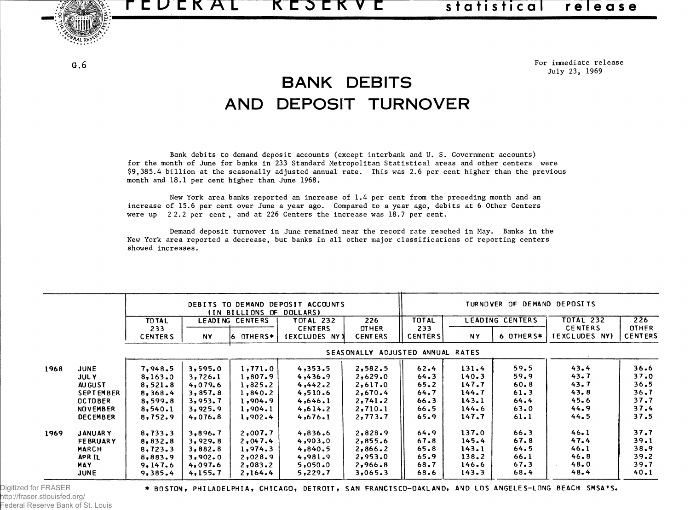TEUEKAL KESEKVE statistical release



 $G.6$ 

**For immediate release July 23, 1969**

## BANK DEBITS AND DEPOSIT TURNOVER

**Bank debits to demand deposit accounts (except interbank and U. S. Government accounts) for the month of June for banks in 233 Standard Metropolitan Statistical areas and other centers were \$9,385.4 billion at the seasonally adjusted annual rate. This was 2.6 per cent higher than the previous month and 18.1 per cent higher than June 1968.**

**New York area banks reported an increase of 1.4 per cent from the preceding month and an** increase of 15.6 per cent over June a year ago. Compared to a year ago, debits at 6 Other Centers **were up 2 2.2 per cent , and at 226 Centers the increase was 18.7 per cent.**

**Demand deposit turnover in June remained near the record rate reached in May. Banks in the New York area reported a decrease, but banks in all other major classifications of reporting centers showed increases.**

|      |                  | DEBITS TO DEMAND DEPOSIT ACCOUNTS<br>(IN BILLIONS OF<br><b>DOLLARS)</b> |                 |               |                                 | TURNOVER OF DEMAND DEPOSITS    |                       |           |                  |                                 |                                |
|------|------------------|-------------------------------------------------------------------------|-----------------|---------------|---------------------------------|--------------------------------|-----------------------|-----------|------------------|---------------------------------|--------------------------------|
|      |                  | TO TAL                                                                  | LEADING CENTERS |               | <b>TOTAL 232</b><br>226         | <b>TOTAL</b>                   | LEADING CENTERS       |           | <b>TOTAL 232</b> | 226                             |                                |
|      |                  | 233<br><b>CENTERS</b>                                                   | <b>NY</b>       | OTHERS*<br>16 | <b>CENTERS</b><br>(EXCLUDES NY) | <b>OTHER</b><br><b>CENTERS</b> | 233<br><b>CENTERS</b> | <b>NY</b> | 6 OTHERS*        | <b>CENTERS</b><br>(EXCLUDES NY) | <b>OTHER</b><br><b>CENTERS</b> |
|      |                  |                                                                         |                 |               |                                 | <b>SEASONALLY</b>              | ADJUSTED ANNUAL RATES |           |                  |                                 |                                |
| 1968 | <b>JUNE</b>      | 7,948.5                                                                 | 3,595.0         | 1,771.0       | 4,353.5                         | 2,582.5                        | 62.4                  | 131.4     | 59.5             | 43.4                            | 36.6                           |
|      | <b>JULY</b>      | 8,163.0                                                                 | 3,726.1         | 1,807.9       | 4,436.9                         | 2,629.0                        | 64.3                  | 140.3     | 59.9             | 43.7                            | 37.0                           |
|      | <b>AUGUST</b>    | 8,521.8                                                                 | 4,079.6         | 1,825.2       | 4,442.2                         | 2,617.0                        | 65.2                  | 147.7     | $60 - 8$         | 43.7                            | 36.5                           |
|      | <b>SEPTEMBER</b> | 8,368.4                                                                 | 3,857.8         | 1,840.2       | 4,510.6                         | 2,670.4                        | 64.7                  | 144.7     | 61.3             | 43.8                            | 36.7                           |
|      | <b>OCTOBER</b>   | 8,599.8                                                                 | 3,953.7         | 1,904.9       | 4,646.1                         | 2,741.2                        | 66.3                  | 143.1     | 64.4             | 45.6                            | 37.7                           |
|      | <b>NOVEMBER</b>  | 8,540.1                                                                 | 3,925.9         | 1,904.1       | 4,614.2                         | 2,710.1                        | 66.5                  | 144.6     | 63.0             | 44.9                            | 37.4                           |
|      | <b>DECEMBER</b>  | 8,752.9                                                                 | 4,076.8         | 1,902.4       | 4,676.1                         | 2,773.7                        | 65.9                  | 147.7     | 61.1             | 44.5                            | 37.5                           |
| 1969 | <b>JANUARY</b>   | 8,733.3                                                                 | 3,896.7         | 2,007.7       | 4,836.6                         | 2,828.9                        | 64.9                  | 137.0     | 66.3             | 46.1                            | 37.7                           |
|      | <b>FEBRUARY</b>  | 8,832.8                                                                 | 3,929.8         | 2,047.4       | 4,903.0                         | 2,855.6                        | 67.8                  | 145.4     | 67.8             | 47.4                            | 39.1                           |
|      | <b>MARCH</b>     | 8,723.3                                                                 | 3,882.8         | 1,974.3       | 4,840.5                         | 2,866.2                        | $65 - 8$              | 143.1     | 64.5             | 46.1                            | 38.9                           |
|      | <b>APRIL</b>     | 8,883.9                                                                 | 3,902.0         | 2,028.9       | 4,981.9                         | 2,953.0                        | 65.9                  | 138.2     | 66.1             | 46.8                            | 39.2                           |
|      | <b>MAY</b>       | 9,147.6                                                                 | 4,097.6         | 2,083.2       | 5,050.0                         | 2,966.8                        | 68.7                  | 146.6     | 67.3             | 48.0                            | 39.7                           |
|      | <b>JUNE</b>      | 9,385.4                                                                 | 4,155.7         | 2,164.4       | 5,229.7                         | 3,065.3                        | 68.6                  | 143.3     | 68.4             | 48.4                            | 40.1                           |

http://fraser.stlouisfed.org/ Federal Reserve Bank of St. Louis

Digitized for FRASER **\* BOSTON, PHILADELPHIA, CHICAGO, DETROIT, SAN FRANCISCO-OAKLAND, AND LOS ANGELES-LONG BEACH SMSA'S.**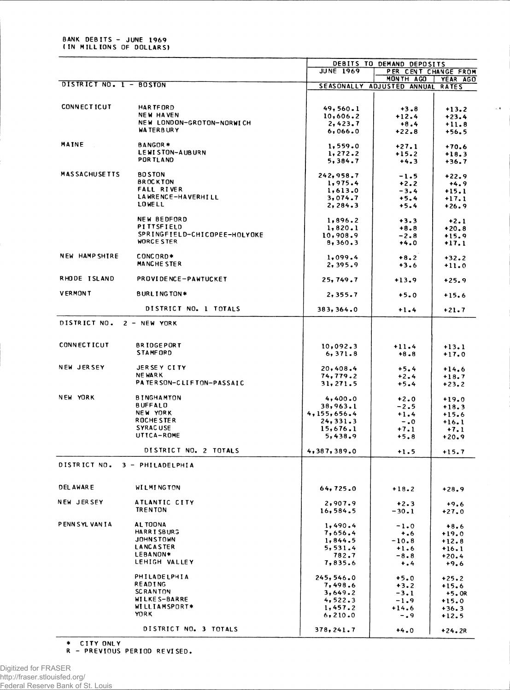|                               |                                |                     | DEBITS TO DEMAND DEPOSITS  |              |  |
|-------------------------------|--------------------------------|---------------------|----------------------------|--------------|--|
|                               |                                | <b>JUNE 1969</b>    | PER CENT CHANGE FROM       |              |  |
| DISTRICT NO. 1 - BOSTON       |                                |                     | MONTH AGO                  | YEAR AGO     |  |
|                               |                                |                     | SEASONALLY ADJUSTED ANNUAL | <b>RATES</b> |  |
|                               |                                |                     |                            |              |  |
| <b>CONNECTICUT</b>            | <b>HARTFORD</b>                | 49, 560.1           | $+3.8$                     | $+13.2$      |  |
|                               | <b>NEW HAVEN</b>               | 10,606.2            | $+12.4$                    | $+23.4$      |  |
|                               | NEW LONDON-GROTON-NORWICH      | 2,423.7             | $+8.4$                     | $+11.8$      |  |
|                               | <b>WATERBURY</b>               | 6,066.0             | $+22.8$                    | $+56.5$      |  |
|                               |                                |                     |                            |              |  |
| MAINE                         | BANGOR*                        | 1,559.0             | $+27.1$                    | $+70.6$      |  |
|                               | LEWISTON-AUBURN                | 1,272.2             | $+15.2$                    | $+18.3$      |  |
|                               | POR TLAND                      | 5,384.7             | $+4.3$                     | $+36.7$      |  |
|                               |                                |                     |                            |              |  |
| <b>MAS SACHUSE TTS</b>        | <b>BO STON</b>                 | 242,958.7           | $-1.5$                     | $+22.9$      |  |
|                               | <b>BROCKTON</b>                | 1,975.4             | $+2.2$                     | $+4.9$       |  |
|                               | FALL RIVER                     | 1,613.0             | $-3.4$                     | $+15.1$      |  |
|                               | LAWRENCE-HAVERHILL             | 3,074.7             | $+5.4$                     | $+17.1$      |  |
|                               | <b>LOWELL</b>                  | 2, 284.3            | $+5.4$                     | $+26.9$      |  |
|                               | <b>NEW BEDFORD</b>             |                     |                            |              |  |
|                               | PITTSFIELD                     | 1,896.2             | $+3.3$                     | $+2.1$       |  |
|                               | SPRINGFIELD-CHICOPEE-HOLYOKE   | 1,820.1             | $+8.8$                     | $+20.8$      |  |
|                               | <b>WORCE STER</b>              | 10,908.9<br>8,360.3 | $-2.8$                     | $+15.9$      |  |
|                               |                                |                     | $+4.0$                     | $+17.1$      |  |
| <b>NEW HAMP SHIRE</b>         | CONCORD*                       | 1,099.4             | $+8.2$                     | $+32.2$      |  |
|                               | MANCHE STER                    | 2,395.9             | $+3.6$                     | $+11.0$      |  |
|                               |                                |                     |                            |              |  |
| RHODE ISLAND                  | <b>PROVIDENCE-PAWTUCKET</b>    | 25, 749.7           | $+13.9$                    | $+25.9$      |  |
|                               |                                |                     |                            |              |  |
| <b>VERMONT</b>                | <b>BURLINGTON*</b>             | 2,355.7             | $+5.0$                     | $+15.6$      |  |
|                               |                                |                     |                            |              |  |
|                               | DISTRICT NO. 1 TOTALS          | 383, 364.0          | $+1.4$                     | $+21.7$      |  |
|                               |                                |                     |                            |              |  |
| DISTRICT NO. 2 - NEW YORK     |                                |                     |                            |              |  |
|                               |                                |                     |                            |              |  |
| <b>CONNECTICUT</b>            | <b>BRIDGEPORT</b>              |                     |                            |              |  |
|                               | <b>STAMFORD</b>                | 10,092.3            | $+11.4$                    | $+13.1$      |  |
|                               |                                | 6, 371.8            | $+8.8$                     | $+17.0$      |  |
| NEW JERSEY                    | JERSEY CITY                    | 20,408.4            | $+5.4$                     | $+14.6$      |  |
|                               | <b>NE WARK</b>                 | 74,779.2            | $+2.4$                     | $+18.7$      |  |
|                               | PATERSON-CLIFTON-PASSAIC       | 31, 271.5           | $+5.4$                     | $+23.2$      |  |
|                               |                                |                     |                            |              |  |
| NEW YORK                      | <b>BINGHAMTON</b>              | 4,400.0             | $+2.0$                     | $+19.0$      |  |
|                               | <b>BUFFALD</b>                 | 38,963.1            | $-2.5$                     | $+18.3$      |  |
|                               | NEW YORK                       | 4,155,656.4         | $+1.4$                     | $+15.6$      |  |
|                               | ROCHE STER                     | 24, 331.3           | $-0.0$                     | $+16.1$      |  |
|                               | <b>SYRACUSE</b>                | 15,676.1            | $+7.1$                     | $+7.1$       |  |
|                               | UTTCA-ROME                     | 5,438.9             | $+5.8$                     | $+20.9$      |  |
|                               |                                |                     |                            |              |  |
|                               | DISTRICT NO. 2 TOTALS          | 4,387,389.0         | $+1.5$                     | $+15.7$      |  |
| DISTRICT NO. 3 - PHILADELPHIA |                                |                     |                            |              |  |
|                               |                                |                     |                            |              |  |
|                               |                                |                     |                            |              |  |
| <b>DEL AWARE</b>              | <b>WILMINGTON</b>              | 64,725.0            | $+18.2$                    | $+28.9$      |  |
|                               |                                |                     |                            |              |  |
| NEW JERSEY                    | ATLANTIC CITY                  | 2,907.9             | $+2.3$                     | $+9.6$       |  |
|                               | <b>TRENTON</b>                 | 16,584.5            | $-30.1$                    | $+27.0$      |  |
|                               |                                |                     |                            |              |  |
| PENN SYL VAN TA               | AL TOONA                       | 1,490.4             | $-1.0$                     | $+8.6$       |  |
|                               | HARRISBURG                     | 7,656.4             | $+ 0.6$                    | $+19.0$      |  |
|                               | <b>JOHNSTOWN</b>               | 1, 844.5            | $-10.8$                    | $+12.8$      |  |
|                               | <b>LANCASTER</b>               | 5,531.4             | $+1.6$                     | $+16.1$      |  |
|                               | LEBANON*                       | 782.7               | $-8.8$                     | $+20.4$      |  |
|                               | LEHIGH VALLEY                  | 7,835.6             | $+ 0.4$                    | $+9.6$       |  |
|                               |                                |                     |                            |              |  |
|                               | PHILADELPHIA                   | 245, 546.0          | $+5.0$                     | $+25.2$      |  |
|                               | <b>READING</b>                 | 7,498.6             | $+3.2$                     | $+15.6$      |  |
|                               | <b>SCRANTON</b>                | 3,649.2             | $-3.1$                     | $+5.0R$      |  |
|                               | WILKE S-BARRE<br>WILLIAMSPORT* | 4,522.3             | $-1.9$                     | $+15.0$      |  |
|                               | <b>YORK</b>                    | 1,457.2             | $+14.6$                    | $+36.3$      |  |
|                               |                                | 6, 210.0            | $-0.9$                     | $+12.5$      |  |
|                               | DISTRICT NO. 3 TOTALS          | 378, 241.7          |                            |              |  |
|                               |                                |                     | $+4.0$                     | +24.2R       |  |

 $\zeta(\mathbf{t})$ 

\* CITY ONLY<br>R - PREVIOUS PERIOD REVISED.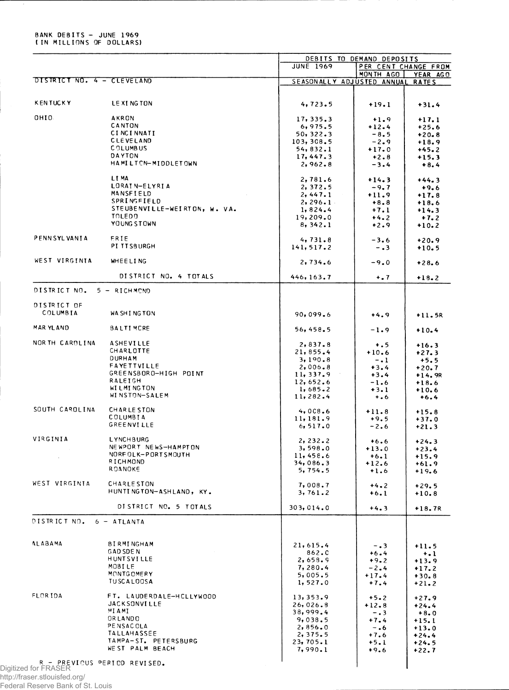## BANK DEBITS - JUNE 1969 ( IN MILLIONS OF DOLLARS)

|                            |                                              | <b>JUNE 1969</b>           | DEBITS TO DEMAND DEPOSITS<br>PER CENT CHANGE FROM |                    |
|----------------------------|----------------------------------------------|----------------------------|---------------------------------------------------|--------------------|
|                            |                                              |                            | MONTH AGO                                         | YEAR AGO           |
| DISTRICT NO. 4 - CLEVELAND |                                              | SEASONALLY ADJUSTED ANNUAL |                                                   | <b>RATES</b>       |
| <b>KENTUCKY</b>            | LEXING TON                                   | 4, 723.5                   | $+19.1$                                           | $+31.4$            |
|                            |                                              |                            |                                                   |                    |
| OHIO.                      | <b>AKRON</b><br>CANTON                       | 17, 335.3                  | $+1.9$                                            | $+17.1$            |
|                            | <b>CINCINNATI</b>                            | 6,975.5                    | $+12.4$                                           | $+25.6$            |
|                            | <b>CLEVELAND</b>                             | 50, 322.3                  | $-8.5$                                            | $+20.8$            |
|                            | <b>COLUMBUS</b>                              | 103, 308.5<br>54, 832.1    | $-2.9$                                            | $+18.9$            |
|                            | DAYTON                                       | 17,447.3                   | $+17.0$                                           | $+45.2$            |
|                            | HAMILTON-MIDDLETOWN                          | 2,962.8                    | $+2.8$<br>$-3.4$                                  | $+15.3$<br>$+8.4$  |
|                            | LI MA                                        | 2,781.6                    | $+14.3$                                           | $+44.3$            |
|                            | LORAIN-ELYRIA                                | 2, 372.5                   | $-9.7$                                            | $+9.6$             |
|                            | MANSFIELD                                    | 2,447.1                    | $+11.9$                                           | $+17.8$            |
|                            | SPRINGFIELD                                  | 2, 296.1                   | $+8.8$                                            | $+18.6$            |
|                            | STEUBENVILLE-WEIRTON, W. VA.                 | 1,824.4                    | $+7.1$                                            | $+14.3$            |
|                            | <b>TOLEDO</b>                                | 19,209.0                   | $+4.2$                                            | $+7.2$             |
|                            | YOUNG STOWN                                  | 8, 342.1                   | $+2.9$                                            | $+10.2$            |
| <b>PENNSYLVANIA</b>        | FRIE                                         | 4, 731.8                   | $-3.6$                                            | $+20.9$            |
|                            | PI TTSBURGH                                  | 141, 517.2                 | $-0.3$                                            | $+10.5$            |
| WEST VIRGINIA              | <b>WHEELING</b>                              | 2,734.6                    | $-9.0$                                            | $+28.6$            |
|                            | DISTRICT NO. 4 TOTALS                        | 446, 163.7                 | $+ 0.7$                                           | $+18.2$            |
| DISTRICT NO. 5 - RICHMOND  |                                              |                            |                                                   |                    |
| DISTRICT OF                |                                              |                            |                                                   |                    |
| COLUMBIA                   | WA SHING TON                                 | 90,099.6                   | $+4.9$                                            | $+11.5R$           |
| <b>MAR YLAND</b>           | <b>BALTIMCRE</b>                             | 56,458.5                   | $-1.9$                                            | $+10.4$            |
| NOR TH CARDLINA            | ASHEVILLE                                    | 2,837.8                    | $+ . 5$                                           | $+16.3$            |
|                            | CHARLOTTE                                    | 21,855.4                   | $+10.6$                                           | $+27.3$            |
|                            | <b>DURHAM</b>                                | 3,190.8                    | $-1$                                              | $+5.5$             |
|                            | <b>FAYETTVILLE</b>                           | 2,006.8                    | $+3.4$                                            | $+20.7$            |
|                            | GREENSBORO-HIGH POINT                        | 11, 337.9                  | $+3.4$                                            | $+14.9R$           |
|                            | <b>RALEIGH</b>                               | 12,652.6                   | $-1.6$                                            | $+18.6$            |
|                            | <b>WILMINGTON</b>                            | 1,685.2                    | $+3.1$                                            | $+10.6$            |
|                            | WINSTON-SALEM                                | 11,282.4                   | $+ 0.6$                                           | $+6.4$             |
| SOUTH CAROLINA             | <b>CHARLESTON</b>                            | 4,008.6                    | $+11.8$                                           | $+15.8$            |
|                            | <b>COLUMBIA</b>                              | 11, 181.9                  | $+9.5$                                            | $+37.0$            |
|                            | <b>GREENVILLE</b>                            | 6, 517.0                   | $-2.6$                                            | $+21.3$            |
| VIRGINIA                   | LYNCHBURG                                    | 2, 232.2                   | $+6.6$                                            | $+24.3$            |
|                            | NEWPORT NEWS-HAMPTON                         | 3,598.0                    | $+13.0$                                           | $+23.4$            |
|                            | NORFOLK-PORTSMOUTH                           | 11,458.6                   | $+6.1$                                            | $+15.9$            |
|                            | RICHMOND                                     | 34,086.3                   | $+12.6$                                           | $+61.9$            |
|                            | ROANOKE                                      | 5,754.5                    | $+1.6$                                            | $+19.6$            |
| WEST VIRGINIA              | <b>CHARLESTON</b><br>HUNTINGTON-ASHLAND, KY. | 7,008.7<br>3,761.2         | $+4.2$<br>$+6.1$                                  | $+29.5$<br>$+10.8$ |
|                            | DISTRICT NO. 5 TOTALS                        |                            |                                                   |                    |
| DISTRICT NO. 6 - ATLANTA   |                                              | 303,014.0                  | $+4.3$                                            | $+18.7R$           |
|                            |                                              |                            |                                                   |                    |
| <b>ALABAMA</b>             | <b>BIRMINGHAM</b>                            | 21,615.4                   | $-0.3$                                            | $+11.5$            |
|                            | <b>GAD SDEN</b>                              | 862.0                      | $+6.4$                                            | $+$ .1             |
|                            | <b>HUNTSVILLE</b>                            | 2,658.9                    | $+9.2$                                            | $+13.9$            |
|                            | MOBILE                                       | 7,280.4                    | $-2.4$                                            | $+17.2$            |
|                            | MONTGOMERY                                   | 5,005.5                    | $+17.4$                                           | $+30.8$            |
|                            | <b>TUSCALOOSA</b>                            | 1, 527.0                   | $+7.4$                                            | $+21.2$            |
| FLOR IDA                   | FT. LAUDERDALE-HCLLYWOOD                     | 13,353.9                   | $+5.2$                                            | $+27.9$            |
|                            | <b>JACKSONVILLE</b>                          | 26,026.8                   | $+12.8$                                           | $+24.4$            |
|                            | MIAMI                                        | 38,999.4                   | $-0.3$                                            | $+8.0$             |
|                            | ORLANDO                                      | 9,038.5                    | $+7.4$                                            | $+15.1$            |
|                            | PENSACOLA                                    | 2,856.0                    | $-0.6$                                            | $+13.0$            |
|                            | <b>TALLAHASSEE</b>                           | 2,375.5                    | $+7.6$                                            | $+24.4$            |
|                            | TAMPA-ST. PETERSBURG                         | 23, 705.1                  | $+5.1$                                            | $+24.5$            |
|                            | WE ST PALM BEACH                             | 7,990.1                    | $+9.6$                                            | $+22.7$            |

http://fraser.stlouisfed.org/ Federal Reserve Bank of St. Louis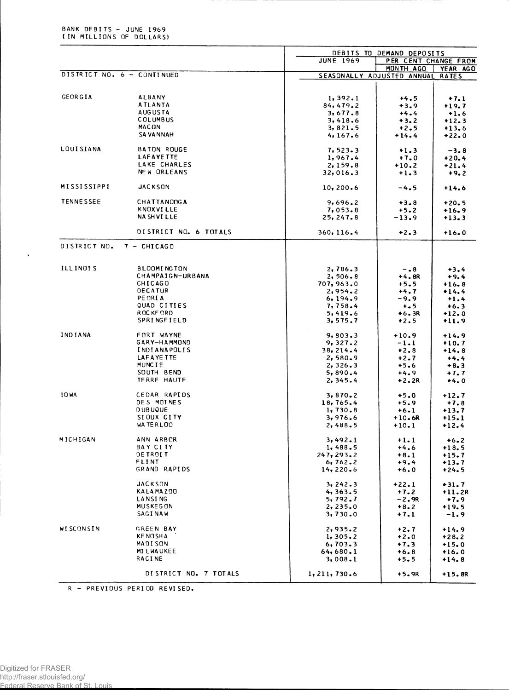|                    |                            |                            | DEBITS TO DEMAND DEPOSITS |              |  |
|--------------------|----------------------------|----------------------------|---------------------------|--------------|--|
|                    |                            | <b>JUNE 1969</b>           | PER CENT CHANGE FROM      |              |  |
|                    | DISTRICT NO. 6 - CONTINUED |                            | MONTH AGO                 | YEAR AGO     |  |
|                    |                            | SEASONALLY ADJUSTED ANNUAL |                           | <b>RATES</b> |  |
|                    |                            |                            |                           |              |  |
| GEORGIA            | <b>ALBANY</b>              | 1, 392.1                   | $+4.5$                    | $+7.1$       |  |
|                    | <b>ATLANTA</b>             | 84,479.2                   | $+3.9$                    | $+19.7$      |  |
|                    | <b>AUGUSTA</b>             | 3,677.8                    | $+4.4$                    | $+1.6$       |  |
|                    | COLUMBUS                   | 3,418.6                    | $+3.2$                    | $+12.3$      |  |
|                    | MACON                      | 3,821.5                    | $+2.5$                    | $+13.6$      |  |
|                    | <b>SA VA NNAH</b>          | 4,167.6                    | $+14.4$                   | $+22.0$      |  |
| <b>LOUISIANA</b>   | <b>BATON ROUGE</b>         | 7, 523.3                   | $+1.3$                    | $-3.8$       |  |
|                    | <b>LAFAYETTE</b>           | 1,967.4                    | $+7.0$                    | $+20.4$      |  |
|                    | LAKE CHARLES               | 2,159.8                    | $+10.2$                   | $+21.4$      |  |
|                    | NEW ORLEANS                | 32,016.3                   | $+1.3$                    | $+9.2$       |  |
| <b>MISSISSIPPI</b> | <b>JACKSON</b>             | 10, 200.6                  | $-4.5$                    | $+14.6$      |  |
| <b>TENNESSEE</b>   | <b>CHATTANOOGA</b>         | 9,696.2                    | $+3.8$                    | $+20.5$      |  |
|                    | KNOXVI LLE                 | 7,053.8                    | $+5.2$                    | $+16.9$      |  |
|                    | <b>NA SH VI LLE</b>        | 25, 247.8                  | $-13.9$                   | $+13.3$      |  |
|                    |                            |                            |                           |              |  |
|                    | DISTRICT NO. 6 TOTALS      | 360, 116.4                 | $+2.3$                    | $+16.0$      |  |
| DISTRICT NO.       | 7 - CHICAGO                |                            |                           |              |  |
| <b>ILLINOIS</b>    | <b>BLOOMINGTON</b>         | 2,786.3                    | $-0.8$                    | $+3.4$       |  |
|                    | CHAMPAIGN-URBANA           | 2,506.8                    | $+4.8R$                   | $+9.4$       |  |
|                    | CHICAGO                    | 707, 963.0                 | $+5.5$                    | $+16.8$      |  |
|                    | <b>DECATUR</b>             | 2,954.2                    | $+4.7$                    | $+14.4$      |  |
|                    | PE ORIA                    | 6, 194.9                   | $-9.9$                    | $+1.4$       |  |
|                    | QUAD CITIES                | 7,758.4                    | $+ 5$                     | $+6.3$       |  |
|                    | ROCKF ORD                  | 5,419.6                    | $+6.3R$                   | $+12.0$      |  |
|                    | <b>SPRINGFIELD</b>         | 3,575.7                    | $+2.5$                    | $+11.9$      |  |
| IND IANA           | FORT WAYNE                 | 9,803.3                    | +10.9                     | $+14.9$      |  |
|                    | GARY-HAMMOND               | 9,327.2                    | $-1.1$                    | $+10.7$      |  |
|                    | <b>INDIANAPOLIS</b>        | 38, 214.4                  | $+2.8$                    | $+14.8$      |  |
|                    | LAFAYE TTE                 | 2,580.9                    | $+2.7$                    | $+4.4$       |  |
|                    | MUNCIE                     | 2, 326.3                   | $+5.6$                    | $+8.3$       |  |
|                    | SOUTH BEND                 | 5,890.4                    | $+4.9$                    | +7.7         |  |
|                    | TERRE HAUTE                | 2,345.4                    | $+2.2R$                   | $+4.0$       |  |
| <b>IOWA</b>        | CEDAR RAPIDS               | 3,870.2                    | $+5.0$                    | $+12.7$      |  |
|                    | DES MOINES                 | 18,765.4                   | $+5.9$                    | $+7.8$       |  |
|                    | <b>DUBUQUE</b>             | 1,730.8                    | $+6.1$                    | $+13.7$      |  |
|                    | SI OUX CITY                | 3,976.6                    | $+10.6R$                  | $+15.1$      |  |
|                    | WA TERLOO                  | 2,488.5                    | $+10.1$                   | $+12.4$      |  |
| MICHIGAN           | ANN ARBOR                  | 3,492.1                    | $+1.1$                    | $+6.2$       |  |
|                    | BAY CITY                   | 1,488.5                    | $+4.6$                    | $+18.5$      |  |
|                    | DE TROIT                   | 247, 293.2                 | $+8.1$                    | $+15.7$      |  |
|                    | FLINT                      | 6, 762.2                   | $+9.4$                    | $+13.7$      |  |
|                    | GRAND RAPIDS               | 14, 220.6                  | $+6.0$                    | +24.5        |  |
|                    | <b>JACKSON</b>             | 3, 242.3                   | $+22.1$                   | $+31.7$      |  |
|                    | KALAMAZ00                  | 4,363.5                    | $+7.2$                    | +11.2R       |  |
|                    | <b>LANSING</b>             | 5,792.7                    | –2.9R                     | $+7.9$       |  |
|                    | <b>MUSKEGON</b>            | 2, 235.0                   | $+8.2$                    | $+19.5$      |  |
|                    | <b>SAGINAW</b>             | 3,730.0                    | $+7.1$                    | $-1.9$       |  |
| WISCONSIN          | GREEN BAY                  | 2,935.2                    | $+2.7$                    | $+14.9$      |  |
|                    | KE NO SH A                 | 1, 305.2                   | $+2.0$                    | $+28.2$      |  |
|                    | MADI SON                   | 6,703.3                    | $+7.3$                    | $+15.0$      |  |
|                    | <b>MILWAUKEE</b>           | 64,680.1                   | $+6.8$                    | $+16.0$      |  |
|                    | <b>RACINE</b>              | 3,008.1                    | $+5.5$                    | $+14.8$      |  |
|                    | DISTRICT NO. 7 TOTALS      | 1, 211, 730.6              | $+5.9R$                   | $+15.8R$     |  |
|                    |                            |                            |                           |              |  |

R - PREVIOUS PERIOD REVISED.

 $\hat{\mathbf{v}}$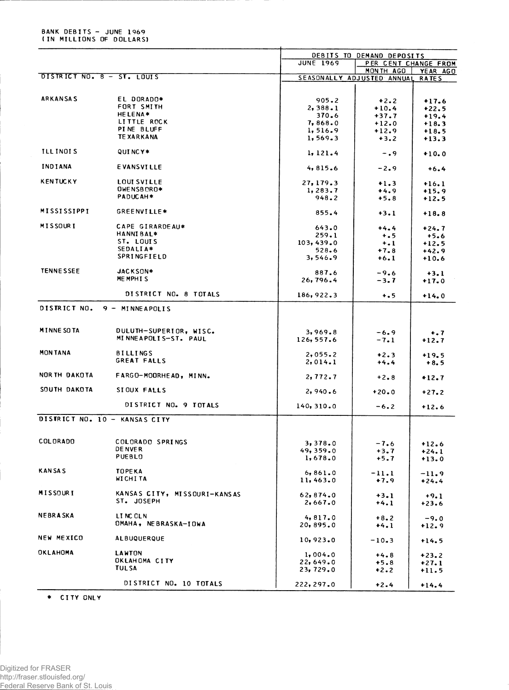## BANK DEBITS - JUNE 1969<br>(IN MILLIONS OF DOLLARS)

|                               |                               |                    | DEBITS TO DEMAND DEPOSITS  |              |
|-------------------------------|-------------------------------|--------------------|----------------------------|--------------|
|                               |                               | <b>JUNE 1969</b>   | PER CENT CHANGE FROM       |              |
|                               |                               |                    | MONTH AGO                  | YEAR AGO     |
| DISTRICT NO. 8 - ST. LOUIS    |                               |                    | SEASONALLY ADJUSTED ANNUAL | <b>RATES</b> |
|                               |                               |                    |                            |              |
| <b>ARKANSAS</b>               | EL DORADO*                    | 905.2              | $+2.2$                     | $+17.6$      |
|                               | FORT SMITH                    | 2,388.1            | $+10.4$                    | $+22.5$      |
|                               | <b>HELENA*</b>                | 370.6              | $+37.7$                    | $+19.4$      |
|                               | LITTLE ROCK                   | 7,868.0            | $+12.0$                    | $+18.3$      |
|                               | PINE BLUFF                    | 1,516.9            | $+12.9$                    | $+18.5$      |
|                               | <b>TEXARKANA</b>              | 1, 569.3           | $+3.2$                     | $+13.3$      |
| <b>ILLINOIS</b>               | QUINCY*                       | 1, 121.4           | $-0.9$                     | $+10.0$      |
| <b>INDIANA</b>                | <b>EVANSVILLE</b>             | 4,815.6            | $-2.9$                     | $+6.4$       |
|                               |                               |                    |                            |              |
| <b>KENTUCKY</b>               | LOUI SVILLE                   | 27, 179.3          | $+1.3$                     | $+16.1$      |
|                               | OWENSBORO*                    | 1, 283.7           | $+4.9$                     | $+15.9$      |
|                               | PADUCAH*                      | 948.2              | $+5.8$                     | $+12.5$      |
| MISSISSIPPI                   | GREENVILLE*                   | 855.4              | $+3.1$                     | $+18.8$      |
|                               |                               |                    |                            |              |
| <b>MISSOURI</b>               | CAPE GIRARDEAU*               | 643.0              | $+4.4$                     | $+24.7$      |
|                               | <b>HANNIBAL*</b>              | 259.1              | $+ 0.5$                    | $+5.6$       |
|                               | ST. LOUIS<br>SEDALIA*         | 103,439.0          | $+1$                       | $+12.5$      |
|                               | SPRINGFIELD                   | 528.6              | $+7.8$                     | $+42.9$      |
|                               |                               | 3,546.9            | $+6.1$                     | $+10.6$      |
| <b>TENNESSEE</b>              | JACKSON*                      | 887.6              | $-9.6$                     | $+3.1$       |
|                               | MEMPHIS                       | 26,796.4           | $-3.7$                     | $+17.0$      |
|                               |                               |                    |                            |              |
|                               | DISTRICT NO. 8 TOTALS         | 186, 922.3         | $+ 0.5$                    | $+14.0$      |
| DISTRICT NO.                  | $9 - MINEAPOLIS$              |                    |                            |              |
|                               |                               |                    |                            |              |
| <b>MINNE SO TA</b>            | DULUTH-SUPERIOR, WISC.        | 3,969.8            | $-6.9$                     | $+ .7$       |
|                               | MINNEAPOLIS-ST. PAUL          | 126,557.6          | $-7.1$                     | $+12.7$      |
| <b>MONTANA</b>                | <b>BILLINGS</b>               |                    |                            |              |
|                               | GREAT FALLS                   | 2,055.2<br>2,014.1 | $+2.3$                     | $+19.5$      |
|                               |                               |                    | $+4.4$                     | $+8.5$       |
| NOR TH DAKOTA                 | FARGO-MOORHEAD, MINN.         | 2,772.7            | $+2.8$                     | $+12.7$      |
| SOUTH DAKOTA                  |                               |                    |                            |              |
|                               | SIOUX FALLS                   | 2,940.6            | $+20.0$                    | $+27.2$      |
|                               | DISTRICT NO. 9 TOTALS         | 140, 310.0         | $-6.2$                     | $+12.6$      |
| DISTRICT NO. 10 - KANSAS CITY |                               |                    |                            |              |
|                               |                               |                    |                            |              |
| COLORADO                      | COLORADO SPRINGS              | 3,378.0            | $-7.6$                     | $+12.6$      |
|                               | <b>DENVER</b>                 | 49,359.0           | $+3.7$                     | $+24.1$      |
|                               | <b>PUEBLO</b>                 | 1,678.0            | $+5.7$                     | $+13.0$      |
|                               |                               |                    |                            |              |
| KAN SA S                      | <b>TOPEKA</b>                 | 6,861.0            | $-11.1$                    | $-11.9$      |
|                               | <b>WICHITA</b>                | 11,463.0           | $+7.9$                     | $+24.4$      |
| MISSOURI                      | KANSAS CITY, MISSOURI-KANSAS  |                    |                            |              |
|                               | ST. JOSEPH                    | 62,874.0           | $+3.1$                     | $+9.1$       |
|                               |                               | 2,667.0            | $+4.1$                     | $+23.6$      |
| <b>NEBRASKA</b>               | LINC OLN                      | 4,817.0            | $+8.2$                     | $-9.0$       |
|                               | OMAHA, NEBRASKA-IOWA          | 20,895.0           | $+4.1$                     | $+12.9$      |
|                               |                               |                    |                            |              |
| <b>NEW MEXICO</b>             | <b>ALBUQUERQUE</b>            | 10,923.0           | $-10.3$                    | $+14.5$      |
|                               |                               |                    |                            |              |
| <b>OKLAHOMA</b>               | <b>LAWTON</b>                 | 1,004.0            | $+4.8$                     | $+23.2$      |
|                               | OKLAHOMA CITY<br><b>TULSA</b> | 22,649.0           | $+5.8$                     | $+27.1$      |
|                               |                               | 23,729.0           | $+2.2$                     | $+11.5$      |
|                               | DISTRICT NO. 10 TOTALS        | 222,297.0          |                            |              |
|                               |                               |                    | $+2.4$                     | $+14.4$      |

\* CITY ONLY